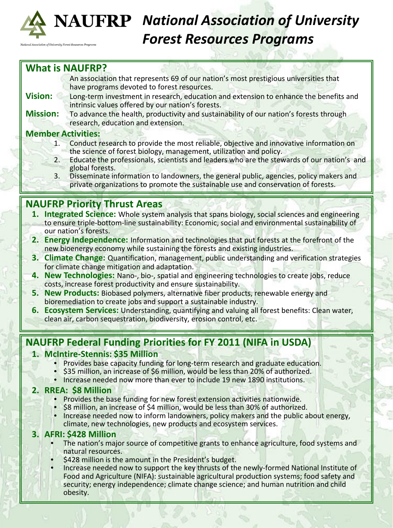

# *National Association of University Forest Resources Programs*

## **What is NAUFRP?**

ociation of University Forest Resources Prog

An association that represents 69 of our nation's most prestigious universities that have programs devoted to forest resources.

- **Vision:** Long-term investment in research, education and extension to enhance the benefits and intrinsic values offered by our nation's forests.
- **Mission:** To advance the health, productivity and sustainability of our nation's forests through research, education and extension.

#### **Member Activities:**

- 1. Conduct research to provide the most reliable, objective and innovative information on the science of forest biology, management, utilization and policy.
- 2. Educate the professionals, scientists and leaders who are the stewards of our nation's and global forests.
- 3. Disseminate information to landowners, the general public, agencies, policy makers and private organizations to promote the sustainable use and conservation of forests.

## **NAUFRP Priority Thrust Areas**

- **1. Integrated Science:** Whole system analysis that spans biology, social sciences and engineering to ensure triple-bottom-line sustainability: Economic, social and environmental sustainability of our nation's forests.
- **2. Energy Independence:** Information and technologies that put forests at the forefront of the new bioenergy economy while sustaining the forests and existing industries.
- **3. Climate Change:** Quantification, management, public understanding and verification strategies for climate change mitigation and adaptation.
- **4. New Technologies:** Nano-, bio-, spatial and engineering technologies to create jobs, reduce costs, increase forest productivity and ensure sustainability.
- **5. New Products:** Biobased polymers, alternative fiber products, renewable energy and bioremediation to create jobs and support a sustainable industry.
- **6. Ecosystem Services:** Understanding, quantifying and valuing all forest benefits: Clean water, clean air, carbon sequestration, biodiversity, erosion control, etc.

## **NAUFRP Federal Funding Priorities for FY 2011 (NIFA in USDA)**

#### **1. McIntire-Stennis: \$35 Million**

- Provides base capacity funding for long-term research and graduate education.
- \$35 million, an increase of \$6 million, would be less than 20% of authorized.
- Increase needed now more than ever to include 19 new 1890 institutions.

#### **2. RREA: \$8 Million**

- Provides the base funding for new forest extension activities nationwide.
- \$8 million, an increase of \$4 million, would be less than 30% of authorized. • Increase needed now to inform landowners, policy makers and the public about energy,
- climate, new technologies, new products and ecosystem services.

### **3. AFRI: \$428 Million**

- The nation's major source of competitive grants to enhance agriculture, food systems and natural resources.
- \$428 million is the amount in the President's budget.
- Increase needed now to support the key thrusts of the newly-formed National Institute of Food and Agriculture (NIFA): sustainable agricultural production systems; food safety and security; energy independence; climate change science; and human nutrition and child obesity.